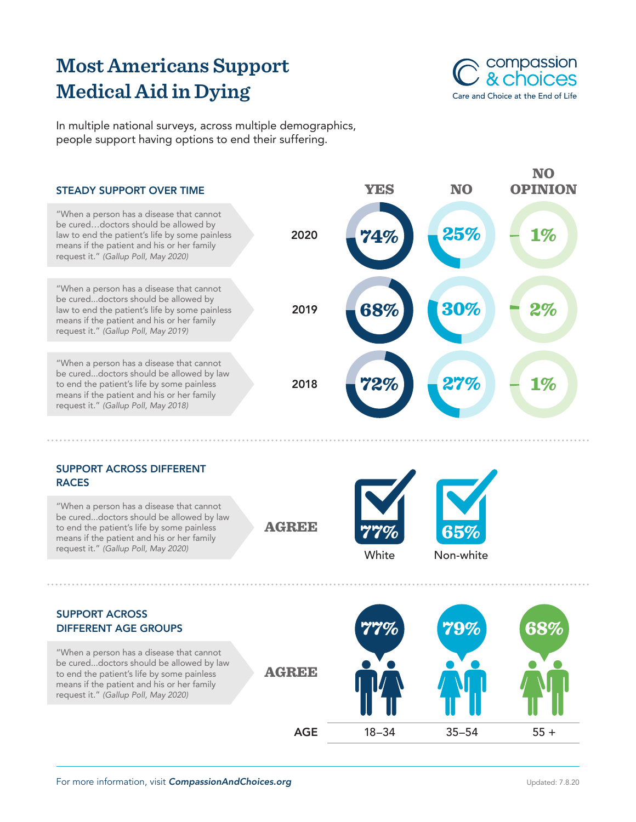## **Most Americans Support Medical Aid in Dying**



In multiple national surveys, across multiple demographics, people support having options to end their suffering.